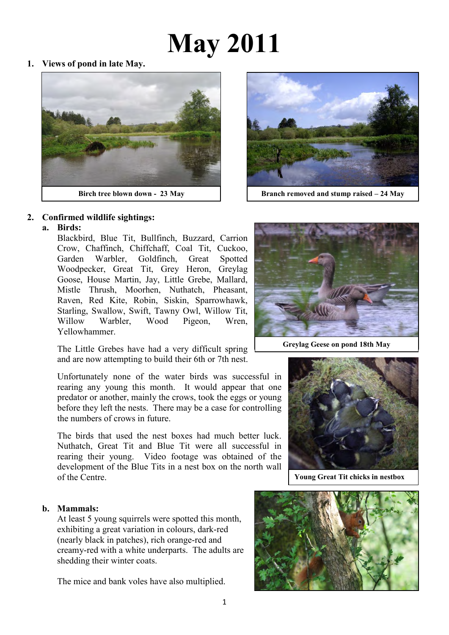# **May 2011**

**1. Views of pond in late May.** 





**Birch tree blown down - 23 May Branch removed and stump raised – 24 May**

#### **2. Confirmed wildlife sightings:**

 **a. Birds:** 

Blackbird, Blue Tit, Bullfinch, Buzzard, Carrion Crow, Chaffinch, Chiffchaff, Coal Tit, Cuckoo, Garden Warbler, Goldfinch, Great Spotted Woodpecker, Great Tit, Grey Heron, Greylag Goose, House Martin, Jay, Little Grebe, Mallard, Mistle Thrush, Moorhen, Nuthatch, Pheasant, Raven, Red Kite, Robin, Siskin, Sparrowhawk, Starling, Swallow, Swift, Tawny Owl, Willow Tit, Willow Warbler, Wood Pigeon, Wren, Yellowhammer.

The Little Grebes have had a very difficult spring and are now attempting to build their 6th or 7th nest.

Unfortunately none of the water birds was successful in rearing any young this month. It would appear that one predator or another, mainly the crows, took the eggs or young before they left the nests. There may be a case for controlling the numbers of crows in future.

The birds that used the nest boxes had much better luck. Nuthatch, Great Tit and Blue Tit were all successful in rearing their young. Video footage was obtained of the development of the Blue Tits in a nest box on the north wall of the Centre.

#### **b. Mammals:**

At least 5 young squirrels were spotted this month, exhibiting a great variation in colours, dark-red (nearly black in patches), rich orange-red and creamy-red with a white underparts. The adults are shedding their winter coats.

The mice and bank voles have also multiplied.



**Greylag Geese on pond 18th May**



**Young Great Tit chicks in nestbox**

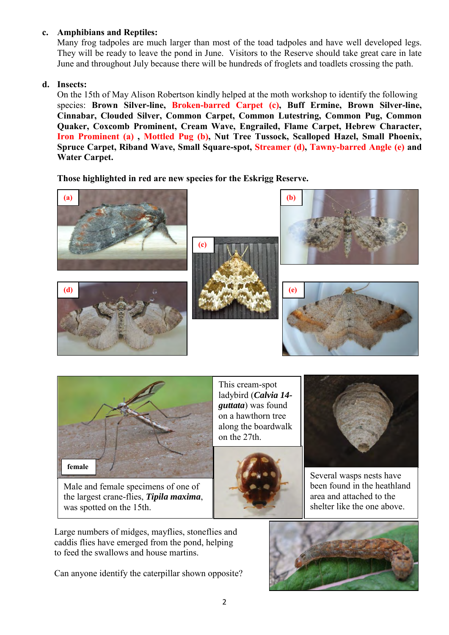# **c. Amphibians and Reptiles:**

Many frog tadpoles are much larger than most of the toad tadpoles and have well developed legs. They will be ready to leave the pond in June. Visitors to the Reserve should take great care in late June and throughout July because there will be hundreds of froglets and toadlets crossing the path.

# **d. Insects:**

On the 15th of May Alison Robertson kindly helped at the moth workshop to identify the following species: **Brown Silver-line, Broken-barred Carpet (c), Buff Ermine, Brown Silver-line, Cinnabar, Clouded Silver, Common Carpet, Common Lutestring, Common Pug, Common Quaker, Coxcomb Prominent, Cream Wave, Engrailed, Flame Carpet, Hebrew Character, Iron Prominent (a) , Mottled Pug (b), Nut Tree Tussock, Scalloped Hazel, Small Phoenix, Spruce Carpet, Riband Wave, Small Square-spot, Streamer (d), Tawny-barred Angle (e) and Water Carpet.** 

**Those highlighted in red are new species for the Eskrigg Reserve.** 





Male and female specimens of one of the largest crane-flies, *Tipila maxima*, was spotted on the 15th.

 Large numbers of midges, mayflies, stoneflies and caddis flies have emerged from the pond, helping to feed the swallows and house martins.

Can anyone identify the caterpillar shown opposite?

 on a hawthorn tree This cream-spot ladybird (*Calvia 14 guttata*) was found along the boardwalk on the 27th.





Several wasps nests have been found in the heathland area and attached to the shelter like the one above.

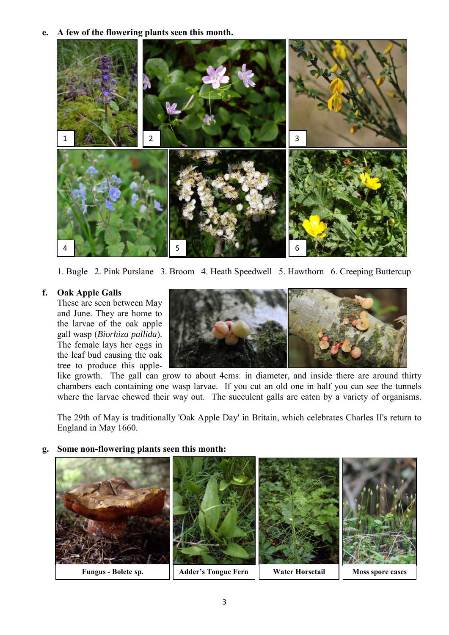**e. A few of the flowering plants seen this month.** 



1. Bugle 2. Pink Purslane 3. Broom 4. Heath Speedwell 5. Hawthorn 6. Creeping Buttercup

#### **f. Oak Apple Galls**

These are seen between May and June. They are home to the larvae of the oak apple gall wasp (*Biorhiza pallida*). The female lays her eggs in the leaf bud causing the oak tree to produce this apple-



like growth. The gall can grow to about 4cms. in diameter, and inside there are around thirty chambers each containing one wasp larvae. If you cut an old one in half you can see the tunnels where the larvae chewed their way out. The succulent galls are eaten by a variety of organisms.

The 29th of May is traditionally 'Oak Apple Day' in Britain, which celebrates Charles II's return to England in May 1660.

**g. Some non-flowering plants seen this month:** 

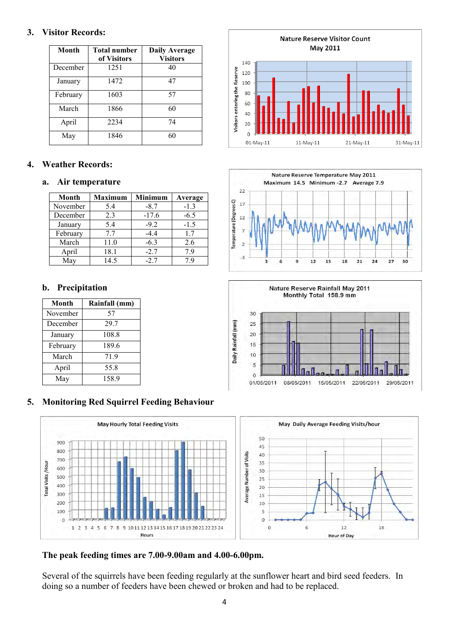### **3. Visitor Records:**

| Month    | <b>Total number</b><br>of Visitors | <b>Daily Average</b><br><b>Visitors</b> |
|----------|------------------------------------|-----------------------------------------|
| December | 1251                               | 40                                      |
| January  | 1472                               | 47                                      |
| February | 1603                               | 57                                      |
| March    | 1866                               | 60                                      |
| April    | 2234                               | 74                                      |
| May      | 1846                               | 60                                      |

# **4. Weather Records:**

#### **a. Air temperature**

| <b>Month</b> | <b>Maximum</b> | <b>Minimum</b> | Average |
|--------------|----------------|----------------|---------|
| November     | 5.4            | $-8.7$         | $-1.3$  |
| December     | 2.3            | $-17.6$        | $-6.5$  |
| January      | 5.4            | $-9.2$         | $-1.5$  |
| February     | 7.7            | $-4.4$         | 17      |
| March        | 11.0           | $-6.3$         | 2.6     |
| April        | 18.1           | $-2.7$         | 79      |
| May          | 14.5           | $-2.7$         |         |

# **b. Precipitation**

| Month    | Rainfall (mm) |
|----------|---------------|
| November | 57            |
| December | 29.7          |
| January  | 108.8         |
| February | 189.6         |
| March    | 719           |
| April    | 55.8          |
| May      | 158.9         |

# **5. Monitoring Red Squirrel Feeding Behaviour**



# **The peak feeding times are 7.00-9.00am and 4.00-6.00pm.**

Several of the squirrels have been feeding regularly at the sunflower heart and bird seed feeders. In doing so a number of feeders have been chewed or broken and had to be replaced.